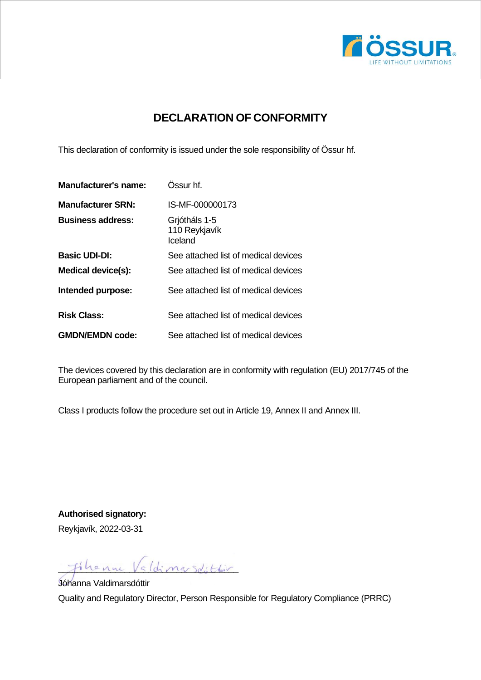

## **DECLARATION OF CONFORMITY**

This declaration of conformity is issued under the sole responsibility of Össur hf.

| <b>Manufacturer's name:</b> | Ossur hf.                                 |
|-----------------------------|-------------------------------------------|
| <b>Manufacturer SRN:</b>    | IS-MF-000000173                           |
| <b>Business address:</b>    | Grjótháls 1-5<br>110 Reykjavík<br>Iceland |
| <b>Basic UDI-DI:</b>        | See attached list of medical devices      |
| <b>Medical device(s):</b>   | See attached list of medical devices      |
| Intended purpose:           | See attached list of medical devices      |
| <b>Risk Class:</b>          | See attached list of medical devices      |
| <b>GMDN/EMDN code:</b>      | See attached list of medical devices      |

The devices covered by this declaration are in conformity with regulation (EU) 2017/745 of the European parliament and of the council.

Class I products follow the procedure set out in Article 19, Annex II and Annex III.

**Authorised signatory:** Reykjavík, 2022-03-31

filenne Valdimarsdittir

Jóhanna Valdimarsdóttir Quality and Regulatory Director, Person Responsible for Regulatory Compliance (PRRC)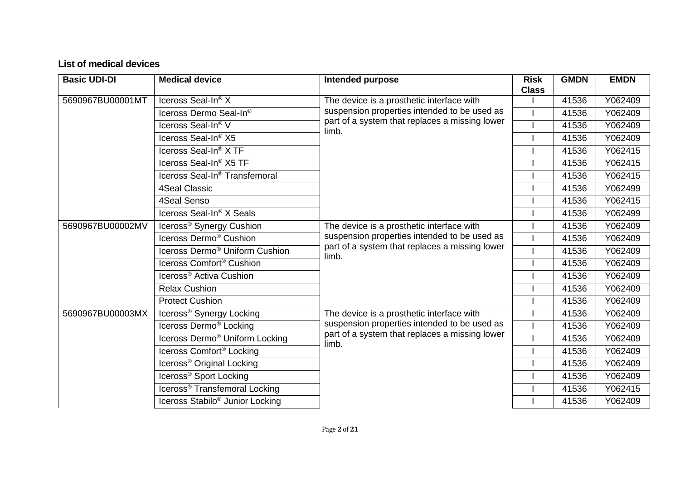## **List of medical devices**

| <b>Basic UDI-DI</b> | <b>Medical device</b>                       | <b>Intended purpose</b>                                                                                                                              | <b>Risk</b><br><b>Class</b> | <b>GMDN</b> | <b>EMDN</b> |
|---------------------|---------------------------------------------|------------------------------------------------------------------------------------------------------------------------------------------------------|-----------------------------|-------------|-------------|
| 5690967BU00001MT    | Iceross Seal-In® X                          | The device is a prosthetic interface with<br>suspension properties intended to be used as<br>part of a system that replaces a missing lower<br>limb. |                             | 41536       | Y062409     |
|                     | Iceross Dermo Seal-In®                      |                                                                                                                                                      |                             | 41536       | Y062409     |
|                     | Iceross Seal-In® V                          |                                                                                                                                                      |                             | 41536       | Y062409     |
|                     | Iceross Seal-In <sup>®</sup> X5             |                                                                                                                                                      |                             | 41536       | Y062409     |
|                     | Iceross Seal-In <sup>®</sup> X TF           |                                                                                                                                                      |                             | 41536       | Y062415     |
|                     | Iceross Seal-In <sup>®</sup> X5 TF          |                                                                                                                                                      |                             | 41536       | Y062415     |
|                     | Iceross Seal-In <sup>®</sup> Transfemoral   |                                                                                                                                                      |                             | 41536       | Y062415     |
|                     | <b>4Seal Classic</b>                        |                                                                                                                                                      |                             | 41536       | Y062499     |
|                     | 4Seal Senso                                 |                                                                                                                                                      |                             | 41536       | Y062415     |
|                     | Iceross Seal-In <sup>®</sup> X Seals        |                                                                                                                                                      |                             | 41536       | Y062499     |
| 5690967BU00002MV    | Iceross <sup>®</sup> Synergy Cushion        | The device is a prosthetic interface with                                                                                                            |                             | 41536       | Y062409     |
|                     | Iceross Dermo <sup>®</sup> Cushion          | suspension properties intended to be used as<br>part of a system that replaces a missing lower<br>limb.                                              |                             | 41536       | Y062409     |
|                     | Iceross Dermo <sup>®</sup> Uniform Cushion  |                                                                                                                                                      |                             | 41536       | Y062409     |
|                     | Iceross Comfort <sup>®</sup> Cushion        |                                                                                                                                                      |                             | 41536       | Y062409     |
|                     | Iceross <sup>®</sup> Activa Cushion         |                                                                                                                                                      |                             | 41536       | Y062409     |
|                     | <b>Relax Cushion</b>                        |                                                                                                                                                      |                             | 41536       | Y062409     |
|                     | <b>Protect Cushion</b>                      |                                                                                                                                                      |                             | 41536       | Y062409     |
| 5690967BU00003MX    | Iceross® Synergy Locking                    | The device is a prosthetic interface with                                                                                                            |                             | 41536       | Y062409     |
|                     | Iceross Dermo <sup>®</sup> Locking          | suspension properties intended to be used as                                                                                                         |                             | 41536       | Y062409     |
|                     | Iceross Dermo <sup>®</sup> Uniform Locking  | part of a system that replaces a missing lower<br>limb.                                                                                              |                             | 41536       | Y062409     |
|                     | Iceross Comfort <sup>®</sup> Locking        |                                                                                                                                                      |                             | 41536       | Y062409     |
|                     | Iceross <sup>®</sup> Original Locking       |                                                                                                                                                      |                             | 41536       | Y062409     |
|                     | Iceross® Sport Locking                      |                                                                                                                                                      |                             | 41536       | Y062409     |
|                     | Iceross <sup>®</sup> Transfemoral Locking   |                                                                                                                                                      |                             | 41536       | Y062415     |
|                     | Iceross Stabilo <sup>®</sup> Junior Locking |                                                                                                                                                      |                             | 41536       | Y062409     |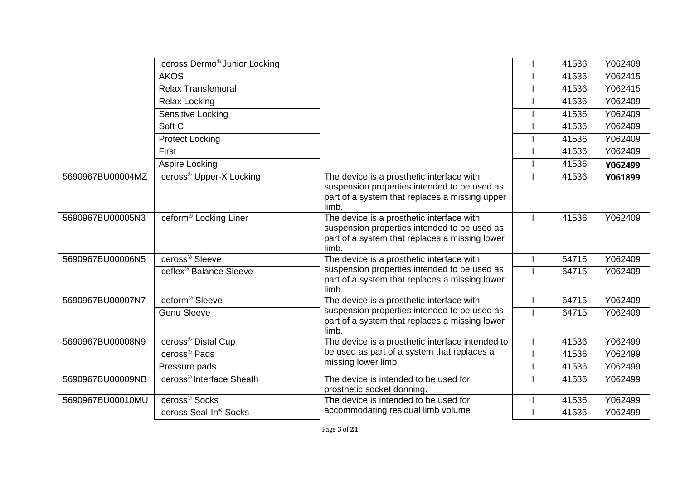|                  | Iceross Dermo <sup>®</sup> Junior Locking |                                                                                                                                                      | 41536 | Y062409 |
|------------------|-------------------------------------------|------------------------------------------------------------------------------------------------------------------------------------------------------|-------|---------|
|                  | <b>AKOS</b>                               |                                                                                                                                                      | 41536 | Y062415 |
|                  | <b>Relax Transfemoral</b>                 |                                                                                                                                                      | 41536 | Y062415 |
|                  | <b>Relax Locking</b>                      |                                                                                                                                                      | 41536 | Y062409 |
|                  | Sensitive Locking                         |                                                                                                                                                      | 41536 | Y062409 |
|                  | Soft C                                    |                                                                                                                                                      | 41536 | Y062409 |
|                  | <b>Protect Locking</b>                    |                                                                                                                                                      | 41536 | Y062409 |
|                  | First                                     |                                                                                                                                                      | 41536 | Y062409 |
|                  | Aspire Locking                            |                                                                                                                                                      | 41536 | Y062499 |
| 5690967BU00004MZ | Iceross® Upper-X Locking                  | The device is a prosthetic interface with<br>suspension properties intended to be used as<br>part of a system that replaces a missing upper<br>limb. | 41536 | Y061899 |
| 5690967BU00005N3 | Iceform <sup>®</sup> Locking Liner        | The device is a prosthetic interface with<br>suspension properties intended to be used as<br>part of a system that replaces a missing lower<br>limb. | 41536 | Y062409 |
| 5690967BU00006N5 | Iceross <sup>®</sup> Sleeve               | The device is a prosthetic interface with                                                                                                            | 64715 | Y062409 |
|                  | Iceflex <sup>®</sup> Balance Sleeve       | suspension properties intended to be used as<br>part of a system that replaces a missing lower<br>limb.                                              | 64715 | Y062409 |
| 5690967BU00007N7 | Iceform <sup>®</sup> Sleeve               | The device is a prosthetic interface with                                                                                                            | 64715 | Y062409 |
|                  | <b>Genu Sleeve</b>                        | suspension properties intended to be used as<br>part of a system that replaces a missing lower<br>limb.                                              | 64715 | Y062409 |
| 5690967BU00008N9 | Iceross <sup>®</sup> Distal Cup           | The device is a prosthetic interface intended to                                                                                                     | 41536 | Y062499 |
|                  | Iceross <sup>®</sup> Pads                 | be used as part of a system that replaces a                                                                                                          | 41536 | Y062499 |
|                  | Pressure pads                             | missing lower limb.                                                                                                                                  | 41536 | Y062499 |
| 5690967BU00009NB | Iceross <sup>®</sup> Interface Sheath     | The device is intended to be used for<br>prosthetic socket donning.                                                                                  | 41536 | Y062499 |
| 5690967BU00010MU | Iceross <sup>®</sup> Socks                | The device is intended to be used for                                                                                                                | 41536 | Y062499 |
|                  | Iceross Seal-In® Socks                    | accommodating residual limb volume                                                                                                                   | 41536 | Y062499 |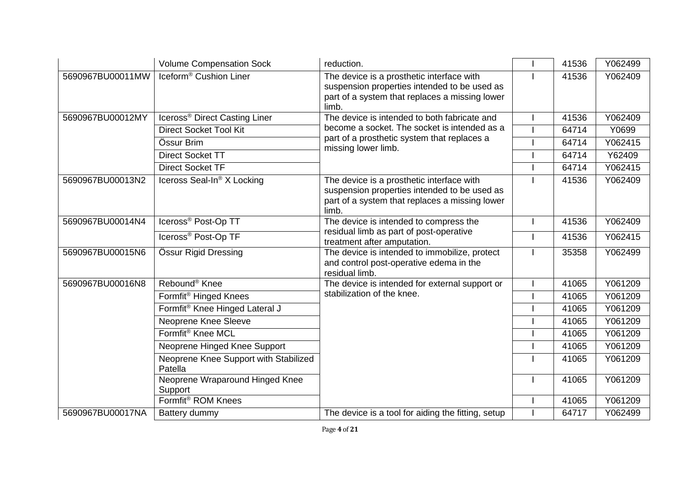|                  | <b>Volume Compensation Sock</b>                  | reduction.                                                                                                                                           | 41536  | Y062499 |
|------------------|--------------------------------------------------|------------------------------------------------------------------------------------------------------------------------------------------------------|--------|---------|
| 5690967BU00011MW | Iceform <sup>®</sup> Cushion Liner               | The device is a prosthetic interface with<br>suspension properties intended to be used as<br>part of a system that replaces a missing lower<br>limb. | 41536  | Y062409 |
| 5690967BU00012MY | Iceross <sup>®</sup> Direct Casting Liner        | The device is intended to both fabricate and                                                                                                         | 41536  | Y062409 |
|                  | <b>Direct Socket Tool Kit</b>                    | become a socket. The socket is intended as a                                                                                                         | 64714  | Y0699   |
|                  | Össur Brim                                       | part of a prosthetic system that replaces a<br>missing lower limb.                                                                                   | 64714  | Y062415 |
|                  | <b>Direct Socket TT</b>                          | 64714                                                                                                                                                | Y62409 |         |
|                  | <b>Direct Socket TF</b>                          |                                                                                                                                                      | 64714  | Y062415 |
| 5690967BU00013N2 | Iceross Seal-In <sup>®</sup> X Locking           | The device is a prosthetic interface with<br>suspension properties intended to be used as<br>part of a system that replaces a missing lower<br>limb. | 41536  | Y062409 |
| 5690967BU00014N4 | Iceross <sup>®</sup> Post-Op TT                  | The device is intended to compress the                                                                                                               | 41536  | Y062409 |
|                  | Iceross <sup>®</sup> Post-Op TF                  | residual limb as part of post-operative<br>treatment after amputation.                                                                               | 41536  | Y062415 |
| 5690967BU00015N6 | Össur Rigid Dressing                             | The device is intended to immobilize, protect<br>and control post-operative edema in the<br>residual limb.                                           | 35358  | Y062499 |
| 5690967BU00016N8 | Rebound <sup>®</sup> Knee                        | The device is intended for external support or                                                                                                       | 41065  | Y061209 |
|                  | Formfit <sup>®</sup> Hinged Knees                | stabilization of the knee.                                                                                                                           | 41065  | Y061209 |
|                  | Formfit® Knee Hinged Lateral J                   |                                                                                                                                                      | 41065  | Y061209 |
|                  | <b>Neoprene Knee Sleeve</b>                      |                                                                                                                                                      | 41065  | Y061209 |
|                  | Formfit <sup>®</sup> Knee MCL                    |                                                                                                                                                      | 41065  | Y061209 |
|                  | Neoprene Hinged Knee Support                     |                                                                                                                                                      | 41065  | Y061209 |
|                  | Neoprene Knee Support with Stabilized<br>Patella |                                                                                                                                                      | 41065  | Y061209 |
|                  | Neoprene Wraparound Hinged Knee<br>Support       |                                                                                                                                                      | 41065  | Y061209 |
|                  | Formfit <sup>®</sup> ROM Knees                   |                                                                                                                                                      | 41065  | Y061209 |
| 5690967BU00017NA | Battery dummy                                    | The device is a tool for aiding the fitting, setup                                                                                                   | 64717  | Y062499 |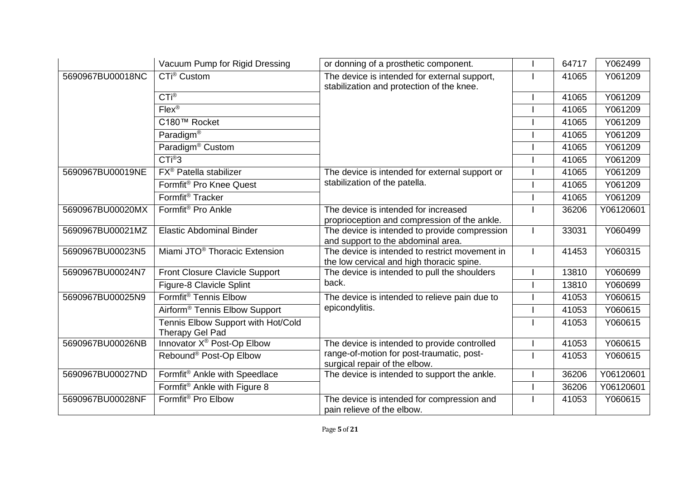|                  | Vacuum Pump for Rigid Dressing                        | or donning of a prosthetic component.                                                       | 64717 | Y062499   |
|------------------|-------------------------------------------------------|---------------------------------------------------------------------------------------------|-------|-----------|
| 5690967BU00018NC | CTi <sup>®</sup> Custom                               | The device is intended for external support,<br>stabilization and protection of the knee.   | 41065 | Y061209   |
|                  | $CTi^{\circledR}$                                     |                                                                                             | 41065 | Y061209   |
|                  | $Flex^{\circledR}$                                    |                                                                                             | 41065 | Y061209   |
|                  | C180™ Rocket                                          |                                                                                             | 41065 | Y061209   |
|                  | Paradigm <sup>®</sup>                                 |                                                                                             | 41065 | Y061209   |
|                  | Paradigm <sup>®</sup> Custom                          |                                                                                             | 41065 | Y061209   |
|                  | CTi <sup>®</sup> 3                                    |                                                                                             | 41065 | Y061209   |
| 5690967BU00019NE | FX <sup>®</sup> Patella stabilizer                    | The device is intended for external support or                                              | 41065 | Y061209   |
|                  | Formfit <sup>®</sup> Pro Knee Quest                   | stabilization of the patella.                                                               | 41065 | Y061209   |
|                  | Formfit <sup>®</sup> Tracker                          |                                                                                             | 41065 | Y061209   |
| 5690967BU00020MX | Formfit <sup>®</sup> Pro Ankle                        | The device is intended for increased<br>proprioception and compression of the ankle.        | 36206 | Y06120601 |
| 5690967BU00021MZ | <b>Elastic Abdominal Binder</b>                       | The device is intended to provide compression<br>and support to the abdominal area.         | 33031 | Y060499   |
| 5690967BU00023N5 | Miami JTO <sup>®</sup> Thoracic Extension             | The device is intended to restrict movement in<br>the low cervical and high thoracic spine. | 41453 | Y060315   |
| 5690967BU00024N7 | Front Closure Clavicle Support                        | The device is intended to pull the shoulders                                                | 13810 | Y060699   |
|                  | Figure-8 Clavicle Splint                              | back.                                                                                       | 13810 | Y060699   |
| 5690967BU00025N9 | Formfit <sup>®</sup> Tennis Elbow                     | The device is intended to relieve pain due to                                               | 41053 | Y060615   |
|                  | Airform <sup>®</sup> Tennis Elbow Support             | epicondylitis.                                                                              | 41053 | Y060615   |
|                  | Tennis Elbow Support with Hot/Cold<br>Therapy Gel Pad |                                                                                             | 41053 | Y060615   |
| 5690967BU00026NB | Innovator X <sup>®</sup> Post-Op Elbow                | The device is intended to provide controlled                                                | 41053 | Y060615   |
|                  | Rebound® Post-Op Elbow                                | range-of-motion for post-traumatic, post-<br>surgical repair of the elbow.                  | 41053 | Y060615   |
| 5690967BU00027ND | Formfit® Ankle with Speedlace                         | The device is intended to support the ankle.                                                | 36206 | Y06120601 |
|                  | Formfit <sup>®</sup> Ankle with Figure 8              |                                                                                             | 36206 | Y06120601 |
| 5690967BU00028NF | Formfit <sup>®</sup> Pro Elbow                        | The device is intended for compression and<br>pain relieve of the elbow.                    | 41053 | Y060615   |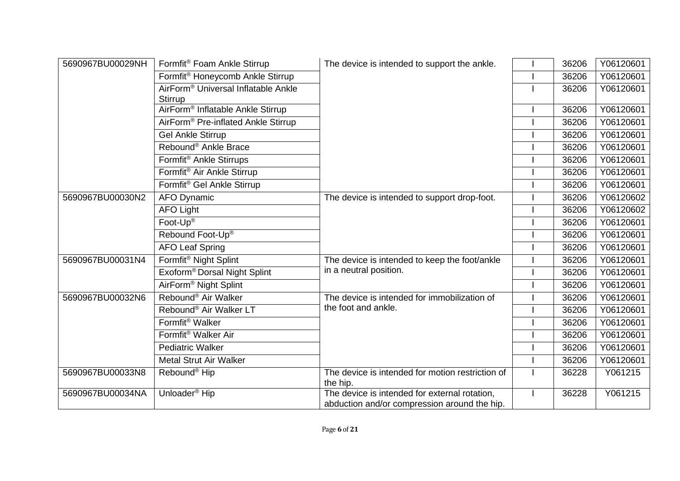| 5690967BU00029NH | Formfit <sup>®</sup> Foam Ankle Stirrup                    | The device is intended to support the ankle.                                                  | 36206 | Y06120601 |
|------------------|------------------------------------------------------------|-----------------------------------------------------------------------------------------------|-------|-----------|
|                  | Formfit <sup>®</sup> Honeycomb Ankle Stirrup               |                                                                                               | 36206 | Y06120601 |
|                  | AirForm <sup>®</sup> Universal Inflatable Ankle<br>Stirrup |                                                                                               | 36206 | Y06120601 |
|                  | AirForm <sup>®</sup> Inflatable Ankle Stirrup              |                                                                                               | 36206 | Y06120601 |
|                  | AirForm <sup>®</sup> Pre-inflated Ankle Stirrup            |                                                                                               | 36206 | Y06120601 |
|                  | <b>Gel Ankle Stirrup</b>                                   |                                                                                               | 36206 | Y06120601 |
|                  | Rebound® Ankle Brace                                       |                                                                                               | 36206 | Y06120601 |
|                  | Formfit <sup>®</sup> Ankle Stirrups                        |                                                                                               | 36206 | Y06120601 |
|                  | Formfit <sup>®</sup> Air Ankle Stirrup                     |                                                                                               | 36206 | Y06120601 |
|                  | Formfit <sup>®</sup> Gel Ankle Stirrup                     |                                                                                               | 36206 | Y06120601 |
| 5690967BU00030N2 | <b>AFO Dynamic</b>                                         | The device is intended to support drop-foot.                                                  | 36206 | Y06120602 |
|                  | <b>AFO Light</b>                                           |                                                                                               | 36206 | Y06120602 |
|                  | Foot-Up®                                                   |                                                                                               | 36206 | Y06120601 |
|                  | Rebound Foot-Up®                                           |                                                                                               | 36206 | Y06120601 |
|                  | <b>AFO Leaf Spring</b>                                     |                                                                                               | 36206 | Y06120601 |
| 5690967BU00031N4 | Formfit® Night Splint                                      | The device is intended to keep the foot/ankle                                                 | 36206 | Y06120601 |
|                  | Exoform <sup>®</sup> Dorsal Night Splint                   | in a neutral position.                                                                        | 36206 | Y06120601 |
|                  | AirForm <sup>®</sup> Night Splint                          |                                                                                               | 36206 | Y06120601 |
| 5690967BU00032N6 | Rebound <sup>®</sup> Air Walker                            | The device is intended for immobilization of                                                  | 36206 | Y06120601 |
|                  | Rebound® Air Walker LT                                     | the foot and ankle.                                                                           | 36206 | Y06120601 |
|                  | Formfit <sup>®</sup> Walker                                |                                                                                               | 36206 | Y06120601 |
|                  | Formfit <sup>®</sup> Walker Air                            |                                                                                               | 36206 | Y06120601 |
|                  | <b>Pediatric Walker</b>                                    |                                                                                               | 36206 | Y06120601 |
|                  | <b>Metal Strut Air Walker</b>                              |                                                                                               | 36206 | Y06120601 |
| 5690967BU00033N8 | Rebound <sup>®</sup> Hip                                   | The device is intended for motion restriction of<br>the hip.                                  | 36228 | Y061215   |
| 5690967BU00034NA | Unloader <sup>®</sup> Hip                                  | The device is intended for external rotation,<br>abduction and/or compression around the hip. | 36228 | Y061215   |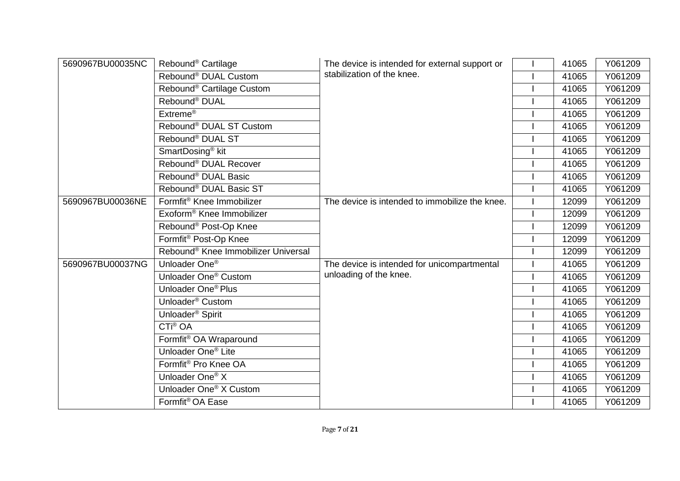| 5690967BU00035NC | Rebound <sup>®</sup> Cartilage                  | The device is intended for external support or | 41065 | Y061209 |
|------------------|-------------------------------------------------|------------------------------------------------|-------|---------|
|                  | Rebound <sup>®</sup> DUAL Custom                | stabilization of the knee.                     | 41065 | Y061209 |
|                  | Rebound <sup>®</sup> Cartilage Custom           |                                                | 41065 | Y061209 |
|                  | Rebound <sup>®</sup> DUAL                       |                                                | 41065 | Y061209 |
|                  | Extreme <sup>®</sup>                            |                                                | 41065 | Y061209 |
|                  | Rebound <sup>®</sup> DUAL ST Custom             |                                                | 41065 | Y061209 |
|                  | Rebound® DUAL ST                                |                                                | 41065 | Y061209 |
|                  | SmartDosing <sup>®</sup> kit                    |                                                | 41065 | Y061209 |
|                  | Rebound® DUAL Recover                           |                                                | 41065 | Y061209 |
|                  | Rebound <sup>®</sup> DUAL Basic                 |                                                | 41065 | Y061209 |
|                  | Rebound <sup>®</sup> DUAL Basic ST              |                                                | 41065 | Y061209 |
| 5690967BU00036NE | Formfit <sup>®</sup> Knee Immobilizer           | The device is intended to immobilize the knee. | 12099 | Y061209 |
|                  | Exoform <sup>®</sup> Knee Immobilizer           |                                                | 12099 | Y061209 |
|                  | Rebound <sup>®</sup> Post-Op Knee               |                                                | 12099 | Y061209 |
|                  | Formfit <sup>®</sup> Post-Op Knee               |                                                | 12099 | Y061209 |
|                  | Rebound <sup>®</sup> Knee Immobilizer Universal |                                                | 12099 | Y061209 |
| 5690967BU00037NG | Unloader One <sup>®</sup>                       | The device is intended for unicompartmental    | 41065 | Y061209 |
|                  | Unloader One <sup>®</sup> Custom                | unloading of the knee.                         | 41065 | Y061209 |
|                  | Unloader One <sup>®</sup> Plus                  |                                                | 41065 | Y061209 |
|                  | Unloader <sup>®</sup> Custom                    |                                                | 41065 | Y061209 |
|                  | Unloader <sup>®</sup> Spirit                    |                                                | 41065 | Y061209 |
|                  | CTi <sup>®</sup> OA                             |                                                | 41065 | Y061209 |
|                  | Formfit <sup>®</sup> OA Wraparound              |                                                | 41065 | Y061209 |
|                  | Unloader One <sup>®</sup> Lite                  |                                                | 41065 | Y061209 |
|                  | Formfit <sup>®</sup> Pro Knee OA                |                                                | 41065 | Y061209 |
|                  | Unloader One <sup>®</sup> X                     |                                                | 41065 | Y061209 |
|                  | Unloader One <sup>®</sup> X Custom              |                                                | 41065 | Y061209 |
|                  | Formfit <sup>®</sup> OA Ease                    |                                                | 41065 | Y061209 |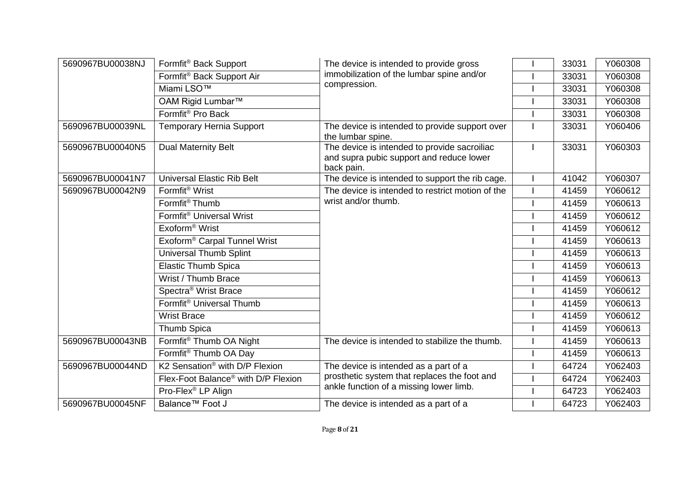| 5690967BU00038NJ | Formfit <sup>®</sup> Back Support               | The device is intended to provide gross                                                                | 33031 | Y060308 |
|------------------|-------------------------------------------------|--------------------------------------------------------------------------------------------------------|-------|---------|
|                  | Formfit <sup>®</sup> Back Support Air           | immobilization of the lumbar spine and/or                                                              | 33031 | Y060308 |
|                  | Miami LSO <sup>™</sup>                          | compression.                                                                                           | 33031 | Y060308 |
|                  | OAM Rigid Lumbar™                               |                                                                                                        | 33031 | Y060308 |
|                  | Formfit <sup>®</sup> Pro Back                   |                                                                                                        | 33031 | Y060308 |
| 5690967BU00039NL | Temporary Hernia Support                        | The device is intended to provide support over<br>the lumbar spine.                                    | 33031 | Y060406 |
| 5690967BU00040N5 | <b>Dual Maternity Belt</b>                      | The device is intended to provide sacroiliac<br>and supra pubic support and reduce lower<br>back pain. | 33031 | Y060303 |
| 5690967BU00041N7 | <b>Universal Elastic Rib Belt</b>               | The device is intended to support the rib cage.                                                        | 41042 | Y060307 |
| 5690967BU00042N9 | Formfit <sup>®</sup> Wrist                      | The device is intended to restrict motion of the                                                       | 41459 | Y060612 |
|                  | Formfit <sup>®</sup> Thumb                      | wrist and/or thumb.                                                                                    | 41459 | Y060613 |
|                  | Formfit <sup>®</sup> Universal Wrist            |                                                                                                        | 41459 | Y060612 |
|                  | Exoform <sup>®</sup> Wrist                      |                                                                                                        | 41459 | Y060612 |
|                  | Exoform <sup>®</sup> Carpal Tunnel Wrist        |                                                                                                        | 41459 | Y060613 |
|                  | Universal Thumb Splint                          |                                                                                                        | 41459 | Y060613 |
|                  | <b>Elastic Thumb Spica</b>                      |                                                                                                        | 41459 | Y060613 |
|                  | Wrist / Thumb Brace                             |                                                                                                        | 41459 | Y060613 |
|                  | Spectra <sup>®</sup> Wrist Brace                |                                                                                                        | 41459 | Y060612 |
|                  | Formfit <sup>®</sup> Universal Thumb            |                                                                                                        | 41459 | Y060613 |
|                  | <b>Wrist Brace</b>                              |                                                                                                        | 41459 | Y060612 |
|                  | Thumb Spica                                     |                                                                                                        | 41459 | Y060613 |
| 5690967BU00043NB | Formfit <sup>®</sup> Thumb OA Night             | The device is intended to stabilize the thumb.                                                         | 41459 | Y060613 |
|                  | Formfit <sup>®</sup> Thumb OA Day               |                                                                                                        | 41459 | Y060613 |
| 5690967BU00044ND | K2 Sensation <sup>®</sup> with D/P Flexion      | The device is intended as a part of a                                                                  | 64724 | Y062403 |
|                  | Flex-Foot Balance <sup>®</sup> with D/P Flexion | prosthetic system that replaces the foot and                                                           | 64724 | Y062403 |
|                  | Pro-Flex <sup>®</sup> LP Align                  | ankle function of a missing lower limb.                                                                | 64723 | Y062403 |
| 5690967BU00045NF | Balance <sup>™</sup> Foot J                     | The device is intended as a part of a                                                                  | 64723 | Y062403 |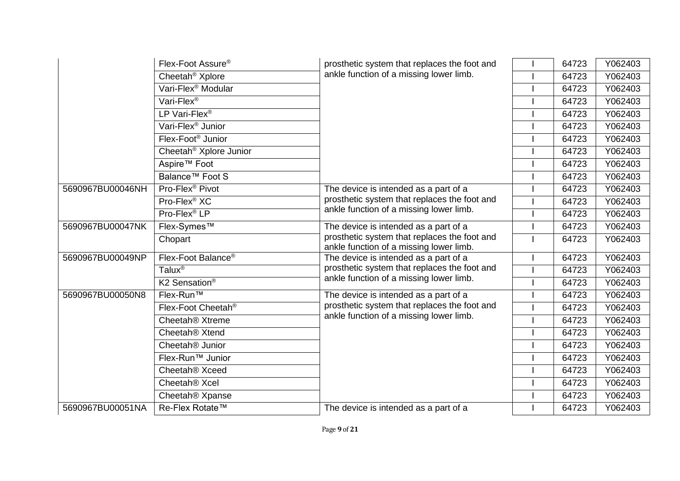|                  | Flex-Foot Assure <sup>®</sup>         | prosthetic system that replaces the foot and                                            | 64723 | Y062403 |
|------------------|---------------------------------------|-----------------------------------------------------------------------------------------|-------|---------|
|                  | Cheetah <sup>®</sup> Xplore           | ankle function of a missing lower limb.                                                 | 64723 | Y062403 |
|                  | Vari-Flex <sup>®</sup> Modular        |                                                                                         | 64723 | Y062403 |
|                  | Vari-Flex <sup>®</sup>                |                                                                                         | 64723 | Y062403 |
|                  | LP Vari-Flex®                         |                                                                                         | 64723 | Y062403 |
|                  | Vari-Flex <sup>®</sup> Junior         |                                                                                         | 64723 | Y062403 |
|                  | Flex-Foot <sup>®</sup> Junior         |                                                                                         | 64723 | Y062403 |
|                  | Cheetah <sup>®</sup> Xplore Junior    |                                                                                         | 64723 | Y062403 |
|                  | Aspire <sup>™</sup> Foot              |                                                                                         | 64723 | Y062403 |
|                  | Balance <sup>™</sup> Foot S           |                                                                                         | 64723 | Y062403 |
| 5690967BU00046NH | Pro-Flex <sup>®</sup> Pivot           | The device is intended as a part of a                                                   | 64723 | Y062403 |
|                  | Pro-Flex <sup>®</sup> XC              | prosthetic system that replaces the foot and                                            | 64723 | Y062403 |
|                  | Pro-Flex <sup>®</sup> LP              | ankle function of a missing lower limb.                                                 | 64723 | Y062403 |
| 5690967BU00047NK | Flex-Symes™                           | The device is intended as a part of a                                                   | 64723 | Y062403 |
|                  | Chopart                               | prosthetic system that replaces the foot and<br>ankle function of a missing lower limb. | 64723 | Y062403 |
| 5690967BU00049NP | Flex-Foot Balance®                    | The device is intended as a part of a                                                   | 64723 | Y062403 |
|                  | Talux <sup>®</sup>                    | prosthetic system that replaces the foot and                                            | 64723 | Y062403 |
|                  | K <sub>2</sub> Sensation <sup>®</sup> | ankle function of a missing lower limb.                                                 | 64723 | Y062403 |
| 5690967BU00050N8 | Flex-Run™                             | The device is intended as a part of a                                                   | 64723 | Y062403 |
|                  | Flex-Foot Cheetah <sup>®</sup>        | prosthetic system that replaces the foot and                                            | 64723 | Y062403 |
|                  | Cheetah <sup>®</sup> Xtreme           | ankle function of a missing lower limb.                                                 | 64723 | Y062403 |
|                  | Cheetah <sup>®</sup> Xtend            |                                                                                         | 64723 | Y062403 |
|                  | Cheetah <sup>®</sup> Junior           |                                                                                         | 64723 | Y062403 |
|                  | Flex-Run™ Junior                      |                                                                                         | 64723 | Y062403 |
|                  | Cheetah <sup>®</sup> Xceed            |                                                                                         | 64723 | Y062403 |
|                  | Cheetah <sup>®</sup> Xcel             |                                                                                         | 64723 | Y062403 |
|                  | Cheetah <sup>®</sup> Xpanse           |                                                                                         | 64723 | Y062403 |
| 5690967BU00051NA | Re-Flex Rotate™                       | The device is intended as a part of a                                                   | 64723 | Y062403 |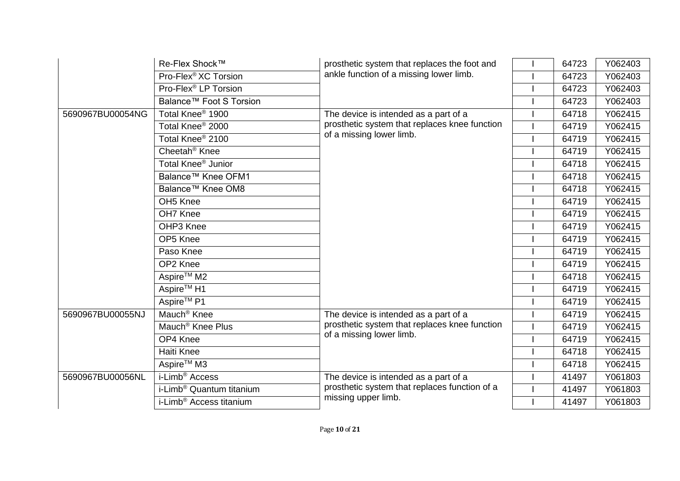|                  | Re-Flex Shock™                       | prosthetic system that replaces the foot and  | 64723 | Y062403 |
|------------------|--------------------------------------|-----------------------------------------------|-------|---------|
|                  | Pro-Flex <sup>®</sup> XC Torsion     | ankle function of a missing lower limb.       | 64723 | Y062403 |
|                  | Pro-Flex <sup>®</sup> LP Torsion     |                                               | 64723 | Y062403 |
|                  | Balance <sup>™</sup> Foot S Torsion  |                                               | 64723 | Y062403 |
| 5690967BU00054NG | Total Knee <sup>®</sup> 1900         | The device is intended as a part of a         | 64718 | Y062415 |
|                  | Total Knee <sup>®</sup> 2000         | prosthetic system that replaces knee function | 64719 | Y062415 |
|                  | Total Knee <sup>®</sup> 2100         | of a missing lower limb.                      | 64719 | Y062415 |
|                  | Cheetah <sup>®</sup> Knee            |                                               | 64719 | Y062415 |
|                  | Total Knee <sup>®</sup> Junior       |                                               | 64718 | Y062415 |
|                  | Balance™ Knee OFM1                   |                                               | 64718 | Y062415 |
|                  | Balance <sup>™</sup> Knee OM8        |                                               | 64718 | Y062415 |
|                  | OH <sub>5</sub> Knee                 |                                               | 64719 | Y062415 |
|                  | OH7 Knee                             |                                               | 64719 | Y062415 |
|                  | OHP3 Knee                            |                                               | 64719 | Y062415 |
|                  | OP5 Knee                             |                                               | 64719 | Y062415 |
|                  | Paso Knee                            |                                               | 64719 | Y062415 |
|                  | OP2 Knee                             |                                               | 64719 | Y062415 |
|                  | Aspire <sup>™</sup> M2               |                                               | 64718 | Y062415 |
|                  | Aspire <sup>™</sup> H1               |                                               | 64719 | Y062415 |
|                  | Aspire <sup>™</sup> P1               |                                               | 64719 | Y062415 |
| 5690967BU00055NJ | Mauch <sup>®</sup> Knee              | The device is intended as a part of a         | 64719 | Y062415 |
|                  | Mauch <sup>®</sup> Knee Plus         | prosthetic system that replaces knee function | 64719 | Y062415 |
|                  | OP4 Knee                             | of a missing lower limb.                      | 64719 | Y062415 |
|                  | Haiti Knee                           |                                               | 64718 | Y062415 |
|                  | Aspire <sup>™</sup> M3               |                                               | 64718 | Y062415 |
| 5690967BU00056NL | i-Limb <sup>®</sup> Access           | The device is intended as a part of a         | 41497 | Y061803 |
|                  | i-Limb <sup>®</sup> Quantum titanium | prosthetic system that replaces function of a | 41497 | Y061803 |
|                  | i-Limb <sup>®</sup> Access titanium  | missing upper limb.                           | 41497 | Y061803 |
|                  |                                      |                                               |       |         |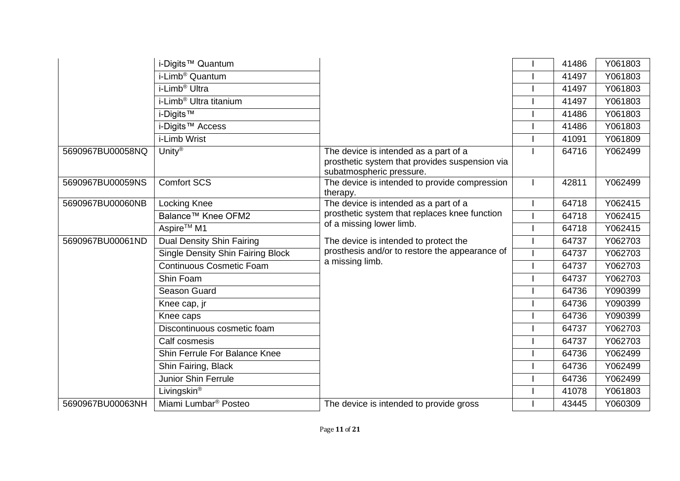|                  | i-Digits™ Quantum                        |                                                                                                                     | 41486 | Y061803 |
|------------------|------------------------------------------|---------------------------------------------------------------------------------------------------------------------|-------|---------|
|                  | i-Limb <sup>®</sup> Quantum              |                                                                                                                     | 41497 | Y061803 |
|                  | i-Limb <sup>®</sup> Ultra                |                                                                                                                     | 41497 | Y061803 |
|                  | i-Limb <sup>®</sup> Ultra titanium       |                                                                                                                     | 41497 | Y061803 |
|                  | i-Digits <sup>™</sup>                    |                                                                                                                     | 41486 | Y061803 |
|                  | i-Digits™ Access                         |                                                                                                                     | 41486 | Y061803 |
|                  | i-Limb Wrist                             |                                                                                                                     | 41091 | Y061809 |
| 5690967BU00058NQ | Unity <sup>®</sup>                       | The device is intended as a part of a<br>prosthetic system that provides suspension via<br>subatmospheric pressure. | 64716 | Y062499 |
| 5690967BU00059NS | <b>Comfort SCS</b>                       | The device is intended to provide compression<br>therapy.                                                           | 42811 | Y062499 |
| 5690967BU00060NB | <b>Locking Knee</b>                      | The device is intended as a part of a                                                                               | 64718 | Y062415 |
|                  | Balance™ Knee OFM2                       | prosthetic system that replaces knee function                                                                       | 64718 | Y062415 |
|                  | Aspire <sup>™</sup> M1                   | of a missing lower limb.                                                                                            | 64718 | Y062415 |
| 5690967BU00061ND | Dual Density Shin Fairing                | The device is intended to protect the                                                                               | 64737 | Y062703 |
|                  | <b>Single Density Shin Fairing Block</b> | prosthesis and/or to restore the appearance of                                                                      | 64737 | Y062703 |
|                  | <b>Continuous Cosmetic Foam</b>          | a missing limb.                                                                                                     | 64737 | Y062703 |
|                  | Shin Foam                                |                                                                                                                     | 64737 | Y062703 |
|                  | Season Guard                             |                                                                                                                     | 64736 | Y090399 |
|                  | Knee cap, jr                             |                                                                                                                     | 64736 | Y090399 |
|                  | Knee caps                                |                                                                                                                     | 64736 | Y090399 |
|                  | Discontinuous cosmetic foam              |                                                                                                                     | 64737 | Y062703 |
|                  | Calf cosmesis                            |                                                                                                                     | 64737 | Y062703 |
|                  | Shin Ferrule For Balance Knee            |                                                                                                                     | 64736 | Y062499 |
|                  | Shin Fairing, Black                      |                                                                                                                     | 64736 | Y062499 |
|                  | Junior Shin Ferrule                      |                                                                                                                     | 64736 | Y062499 |
|                  | Livingskin <sup>®</sup>                  |                                                                                                                     | 41078 | Y061803 |
| 5690967BU00063NH | Miami Lumbar <sup>®</sup> Posteo         | The device is intended to provide gross                                                                             | 43445 | Y060309 |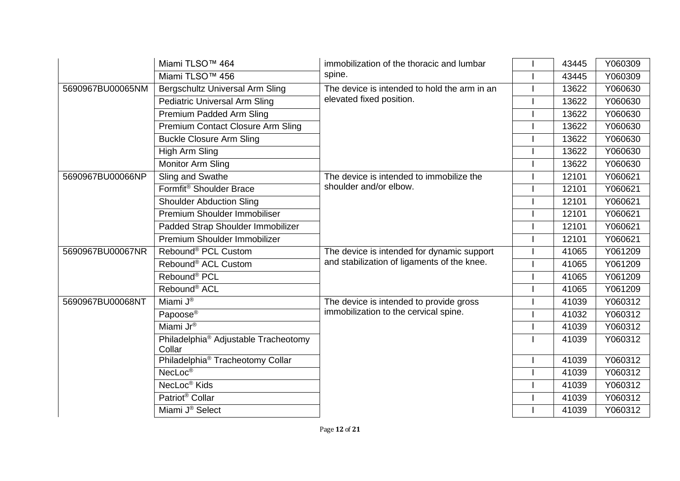|                  | Miami TLSO <sup>™</sup> 464                                | immobilization of the thoracic and lumbar    | 43445 | Y060309 |
|------------------|------------------------------------------------------------|----------------------------------------------|-------|---------|
|                  | Miami TLSO <sup>™</sup> 456                                | spine.                                       | 43445 | Y060309 |
| 5690967BU00065NM | Bergschultz Universal Arm Sling                            | The device is intended to hold the arm in an | 13622 | Y060630 |
|                  | <b>Pediatric Universal Arm Sling</b>                       | elevated fixed position.                     | 13622 | Y060630 |
|                  | Premium Padded Arm Sling                                   |                                              | 13622 | Y060630 |
|                  | Premium Contact Closure Arm Sling                          |                                              | 13622 | Y060630 |
|                  | <b>Buckle Closure Arm Sling</b>                            |                                              | 13622 | Y060630 |
|                  | High Arm Sling                                             |                                              | 13622 | Y060630 |
|                  | Monitor Arm Sling                                          |                                              | 13622 | Y060630 |
| 5690967BU00066NP | Sling and Swathe                                           | The device is intended to immobilize the     | 12101 | Y060621 |
|                  | Formfit® Shoulder Brace                                    | shoulder and/or elbow.                       | 12101 | Y060621 |
|                  | <b>Shoulder Abduction Sling</b>                            |                                              | 12101 | Y060621 |
|                  | Premium Shoulder Immobiliser                               |                                              | 12101 | Y060621 |
|                  | Padded Strap Shoulder Immobilizer                          |                                              | 12101 | Y060621 |
|                  | Premium Shoulder Immobilizer                               |                                              | 12101 | Y060621 |
| 5690967BU00067NR | Rebound <sup>®</sup> PCL Custom                            | The device is intended for dynamic support   | 41065 | Y061209 |
|                  | Rebound <sup>®</sup> ACL Custom                            | and stabilization of ligaments of the knee.  | 41065 | Y061209 |
|                  | Rebound <sup>®</sup> PCL                                   |                                              | 41065 | Y061209 |
|                  | Rebound <sup>®</sup> ACL                                   |                                              | 41065 | Y061209 |
| 5690967BU00068NT | Miami $\overline{J^{\circledR}}$                           | The device is intended to provide gross      | 41039 | Y060312 |
|                  | Papoose <sup>®</sup>                                       | immobilization to the cervical spine.        | 41032 | Y060312 |
|                  | Miami Jr®                                                  |                                              | 41039 | Y060312 |
|                  | Philadelphia <sup>®</sup> Adjustable Tracheotomy<br>Collar |                                              | 41039 | Y060312 |
|                  | Philadelphia® Tracheotomy Collar                           |                                              | 41039 | Y060312 |
|                  | NecLoc <sup>®</sup>                                        |                                              | 41039 | Y060312 |
|                  | NecLoc <sup>®</sup> Kids                                   |                                              | 41039 | Y060312 |
|                  | Patriot <sup>®</sup> Collar                                |                                              | 41039 | Y060312 |
|                  | Miami J <sup>®</sup> Select                                |                                              | 41039 | Y060312 |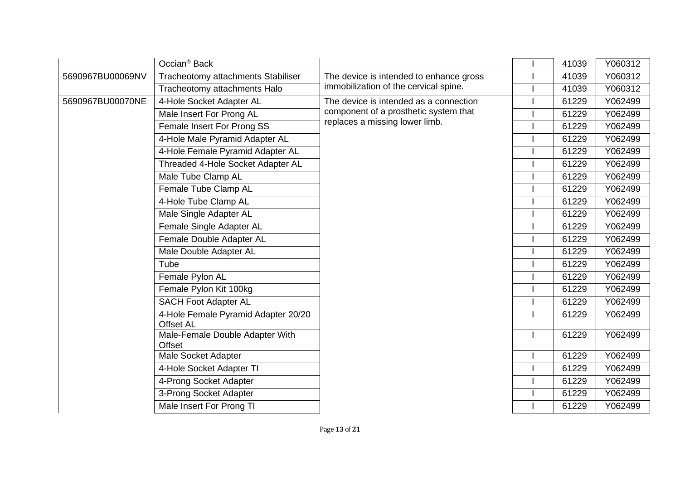|                  | Occian <sup>®</sup> Back                                |                                         | 41039 | Y060312 |
|------------------|---------------------------------------------------------|-----------------------------------------|-------|---------|
| 5690967BU00069NV | Tracheotomy attachments Stabiliser                      | The device is intended to enhance gross | 41039 | Y060312 |
|                  | Tracheotomy attachments Halo                            | immobilization of the cervical spine.   | 41039 | Y060312 |
| 5690967BU00070NE | 4-Hole Socket Adapter AL                                | The device is intended as a connection  | 61229 | Y062499 |
|                  | Male Insert For Prong AL                                | component of a prosthetic system that   | 61229 | Y062499 |
|                  | Female Insert For Prong SS                              | replaces a missing lower limb.          | 61229 | Y062499 |
|                  | 4-Hole Male Pyramid Adapter AL                          |                                         | 61229 | Y062499 |
|                  | 4-Hole Female Pyramid Adapter AL                        |                                         | 61229 | Y062499 |
|                  | Threaded 4-Hole Socket Adapter AL                       |                                         | 61229 | Y062499 |
|                  | Male Tube Clamp AL                                      |                                         | 61229 | Y062499 |
|                  | Female Tube Clamp AL                                    |                                         | 61229 | Y062499 |
|                  | 4-Hole Tube Clamp AL                                    |                                         | 61229 | Y062499 |
|                  | Male Single Adapter AL                                  |                                         | 61229 | Y062499 |
|                  | Female Single Adapter AL                                |                                         | 61229 | Y062499 |
|                  | Female Double Adapter AL                                |                                         | 61229 | Y062499 |
|                  | Male Double Adapter AL                                  |                                         | 61229 | Y062499 |
|                  | Tube                                                    |                                         | 61229 | Y062499 |
|                  | Female Pylon AL                                         |                                         | 61229 | Y062499 |
|                  | Female Pylon Kit 100kg                                  |                                         | 61229 | Y062499 |
|                  | <b>SACH Foot Adapter AL</b>                             |                                         | 61229 | Y062499 |
|                  | 4-Hole Female Pyramid Adapter 20/20<br><b>Offset AL</b> |                                         | 61229 | Y062499 |
|                  | Male-Female Double Adapter With<br>Offset               |                                         | 61229 | Y062499 |
|                  | Male Socket Adapter                                     |                                         | 61229 | Y062499 |
|                  | 4-Hole Socket Adapter TI                                |                                         | 61229 | Y062499 |
|                  | 4-Prong Socket Adapter                                  |                                         | 61229 | Y062499 |
|                  | 3-Prong Socket Adapter                                  |                                         | 61229 | Y062499 |
|                  | Male Insert For Prong TI                                |                                         | 61229 | Y062499 |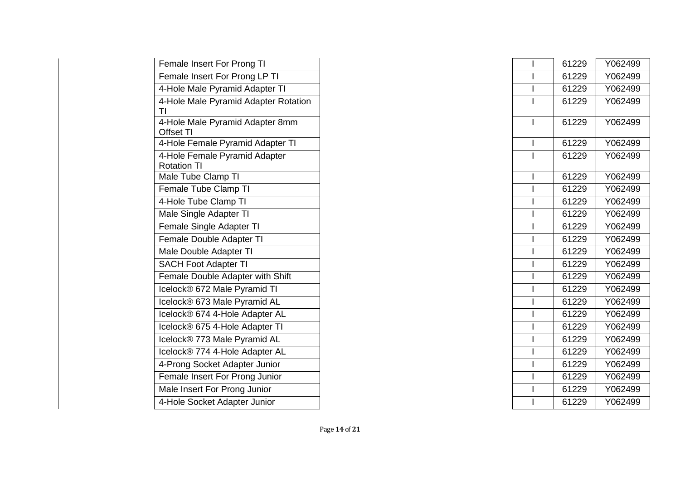| Female Insert For Prong TI                          |  | 61229 | Y062499 |
|-----------------------------------------------------|--|-------|---------|
| Female Insert For Prong LP TI                       |  | 61229 | Y062499 |
| 4-Hole Male Pyramid Adapter TI                      |  | 61229 | Y062499 |
| 4-Hole Male Pyramid Adapter Rotation<br>ΤI          |  | 61229 | Y062499 |
| 4-Hole Male Pyramid Adapter 8mm<br>Offset TI        |  | 61229 | Y062499 |
| 4-Hole Female Pyramid Adapter TI                    |  | 61229 | Y062499 |
| 4-Hole Female Pyramid Adapter<br><b>Rotation TI</b> |  | 61229 | Y062499 |
| Male Tube Clamp TI                                  |  | 61229 | Y062499 |
| Female Tube Clamp TI                                |  | 61229 | Y062499 |
| 4-Hole Tube Clamp TI                                |  | 61229 | Y062499 |
| Male Single Adapter TI                              |  | 61229 | Y062499 |
| Female Single Adapter TI                            |  | 61229 | Y062499 |
| Female Double Adapter TI                            |  | 61229 | Y062499 |
| Male Double Adapter TI                              |  | 61229 | Y062499 |
| <b>SACH Foot Adapter TI</b>                         |  | 61229 | Y062499 |
| Female Double Adapter with Shift                    |  | 61229 | Y062499 |
| Icelock® 672 Male Pyramid TI                        |  | 61229 | Y062499 |
| Icelock® 673 Male Pyramid AL                        |  | 61229 | Y062499 |
| Icelock® 674 4-Hole Adapter AL                      |  | 61229 | Y062499 |
| Icelock® 675 4-Hole Adapter TI                      |  | 61229 | Y062499 |
| Icelock® 773 Male Pyramid AL                        |  | 61229 | Y062499 |
| Icelock® 774 4-Hole Adapter AL                      |  | 61229 | Y062499 |
| 4-Prong Socket Adapter Junior                       |  | 61229 | Y062499 |
| Female Insert For Prong Junior                      |  | 61229 | Y062499 |
| Male Insert For Prong Junior                        |  | 61229 | Y062499 |
| 4-Hole Socket Adapter Junior                        |  | 61229 | Y062499 |
|                                                     |  |       |         |

| For Prong TI                    |   | 61229 |
|---------------------------------|---|-------|
| For Prong LP TI                 |   | 61229 |
| ramid Adapter TI                |   | 61229 |
| ramid Adapter Rotation          |   | 61229 |
| ramid Adapter 8mm               | I | 61229 |
| Pyramid Adapter TI              |   | 61229 |
| <b>Pyramid Adapter</b>          |   | 61229 |
| mp TI                           |   | 61229 |
| $\overline{\mathsf{S}}$ lamp TI |   | 61229 |
| lamp TI                         |   | 61229 |
| lapter TI                       |   | 61229 |
| <b>Adapter TI</b>               |   | 61229 |
| <b>Adapter TI</b>               |   | 61229 |
| dapter TI                       |   | 61229 |
| apter TI                        |   | 61229 |
| <b>Adapter with Shift</b>       |   | 61229 |
| lale Pyramid TI                 |   | 61229 |
| lale Pyramid AL                 |   | 61229 |
| -Hole Adapter AL                |   | 61229 |
| -Hole Adapter TI                |   | 61229 |
| <b>Male Pyramid AL</b>          |   | 61229 |
| -Hole Adapter AL                |   | 61229 |
| t Adapter Junior                |   | 61229 |
| For Prong Junior                |   | 61229 |
| Prong Junior                    |   | 61229 |
| Adapter Junior                  |   | 61229 |
|                                 |   |       |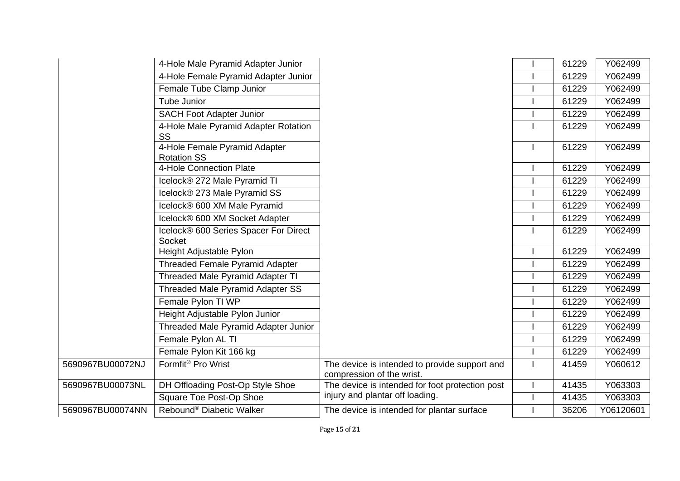|                  | 4-Hole Male Pyramid Adapter Junior                     |                                                                            | 61229 | Y062499   |
|------------------|--------------------------------------------------------|----------------------------------------------------------------------------|-------|-----------|
|                  | 4-Hole Female Pyramid Adapter Junior                   |                                                                            | 61229 | Y062499   |
|                  | Female Tube Clamp Junior                               |                                                                            | 61229 | Y062499   |
|                  | Tube Junior                                            |                                                                            | 61229 | Y062499   |
|                  | <b>SACH Foot Adapter Junior</b>                        |                                                                            | 61229 | Y062499   |
|                  | 4-Hole Male Pyramid Adapter Rotation<br><b>SS</b>      |                                                                            | 61229 | Y062499   |
|                  | 4-Hole Female Pyramid Adapter<br><b>Rotation SS</b>    |                                                                            | 61229 | Y062499   |
|                  | 4-Hole Connection Plate                                |                                                                            | 61229 | Y062499   |
|                  | Icelock® 272 Male Pyramid TI                           |                                                                            | 61229 | Y062499   |
|                  | Icelock® 273 Male Pyramid SS                           |                                                                            | 61229 | Y062499   |
|                  | Icelock® 600 XM Male Pyramid                           |                                                                            | 61229 | Y062499   |
|                  | Icelock® 600 XM Socket Adapter                         |                                                                            | 61229 | Y062499   |
|                  | Icelock® 600 Series Spacer For Direct<br><b>Socket</b> |                                                                            | 61229 | Y062499   |
|                  | Height Adjustable Pylon                                |                                                                            | 61229 | Y062499   |
|                  | <b>Threaded Female Pyramid Adapter</b>                 |                                                                            | 61229 | Y062499   |
|                  | <b>Threaded Male Pyramid Adapter TI</b>                |                                                                            | 61229 | Y062499   |
|                  | <b>Threaded Male Pyramid Adapter SS</b>                |                                                                            | 61229 | Y062499   |
|                  | Female Pylon TI WP                                     |                                                                            | 61229 | Y062499   |
|                  | Height Adjustable Pylon Junior                         |                                                                            | 61229 | Y062499   |
|                  | Threaded Male Pyramid Adapter Junior                   |                                                                            | 61229 | Y062499   |
|                  | Female Pylon AL TI                                     |                                                                            | 61229 | Y062499   |
|                  | Female Pylon Kit 166 kg                                |                                                                            | 61229 | Y062499   |
| 5690967BU00072NJ | Formfit <sup>®</sup> Pro Wrist                         | The device is intended to provide support and<br>compression of the wrist. | 41459 | Y060612   |
| 5690967BU00073NL | DH Offloading Post-Op Style Shoe                       | The device is intended for foot protection post                            | 41435 | Y063303   |
|                  | <b>Square Toe Post-Op Shoe</b>                         | injury and plantar off loading.                                            | 41435 | Y063303   |
| 5690967BU00074NN | Rebound <sup>®</sup> Diabetic Walker                   | The device is intended for plantar surface                                 | 36206 | Y06120601 |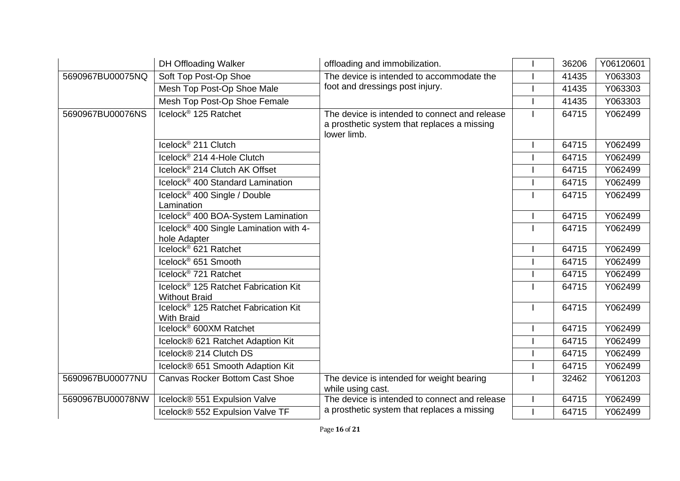|                  | <b>DH Offloading Walker</b>                                              | offloading and immobilization.                                                                              | 36206 | Y06120601 |
|------------------|--------------------------------------------------------------------------|-------------------------------------------------------------------------------------------------------------|-------|-----------|
| 5690967BU00075NQ | Soft Top Post-Op Shoe                                                    | The device is intended to accommodate the                                                                   | 41435 | Y063303   |
|                  | Mesh Top Post-Op Shoe Male                                               | foot and dressings post injury.                                                                             | 41435 | Y063303   |
|                  | Mesh Top Post-Op Shoe Female                                             |                                                                                                             | 41435 | Y063303   |
| 5690967BU00076NS | Icelock <sup>®</sup> 125 Ratchet                                         | The device is intended to connect and release<br>a prosthetic system that replaces a missing<br>lower limb. | 64715 | Y062499   |
|                  | Icelock <sup>®</sup> 211 Clutch                                          |                                                                                                             | 64715 | Y062499   |
|                  | Icelock® 214 4-Hole Clutch                                               |                                                                                                             | 64715 | Y062499   |
|                  | Icelock <sup>®</sup> 214 Clutch AK Offset                                |                                                                                                             | 64715 | Y062499   |
|                  | Icelock <sup>®</sup> 400 Standard Lamination                             |                                                                                                             | 64715 | Y062499   |
|                  | Icelock <sup>®</sup> 400 Single / Double<br>Lamination                   |                                                                                                             | 64715 | Y062499   |
|                  | Icelock <sup>®</sup> 400 BOA-System Lamination                           |                                                                                                             | 64715 | Y062499   |
|                  | Icelock <sup>®</sup> 400 Single Lamination with 4-<br>hole Adapter       |                                                                                                             | 64715 | Y062499   |
|                  | Icelock® 621 Ratchet                                                     |                                                                                                             | 64715 | Y062499   |
|                  | Icelock <sup>®</sup> 651 Smooth                                          |                                                                                                             | 64715 | Y062499   |
|                  | Icelock <sup>®</sup> 721 Ratchet                                         |                                                                                                             | 64715 | Y062499   |
|                  | Icelock <sup>®</sup> 125 Ratchet Fabrication Kit<br><b>Without Braid</b> |                                                                                                             | 64715 | Y062499   |
|                  | Icelock <sup>®</sup> 125 Ratchet Fabrication Kit<br><b>With Braid</b>    |                                                                                                             | 64715 | Y062499   |
|                  | Icelock <sup>®</sup> 600XM Ratchet                                       |                                                                                                             | 64715 | Y062499   |
|                  | Icelock® 621 Ratchet Adaption Kit                                        |                                                                                                             | 64715 | Y062499   |
|                  | Icelock® 214 Clutch DS                                                   |                                                                                                             | 64715 | Y062499   |
|                  | Icelock® 651 Smooth Adaption Kit                                         |                                                                                                             | 64715 | Y062499   |
| 5690967BU00077NU | <b>Canvas Rocker Bottom Cast Shoe</b>                                    | The device is intended for weight bearing<br>while using cast.                                              | 32462 | Y061203   |
| 5690967BU00078NW | Icelock® 551 Expulsion Valve                                             | The device is intended to connect and release                                                               | 64715 | Y062499   |
|                  | Icelock® 552 Expulsion Valve TF                                          | a prosthetic system that replaces a missing                                                                 | 64715 | Y062499   |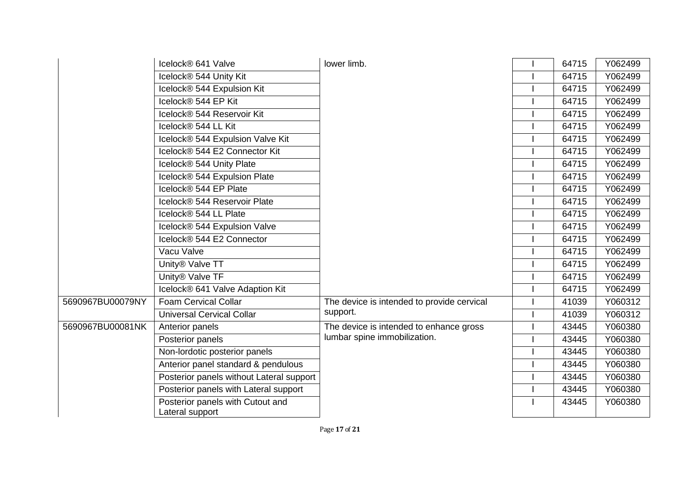|                  | Icelock® 641 Valve                                  | lower limb.                                | 64715 | Y062499 |
|------------------|-----------------------------------------------------|--------------------------------------------|-------|---------|
|                  | Icelock® 544 Unity Kit                              |                                            | 64715 | Y062499 |
|                  | Icelock® 544 Expulsion Kit                          |                                            | 64715 | Y062499 |
|                  | Icelock® 544 EP Kit                                 |                                            | 64715 | Y062499 |
|                  | Icelock® 544 Reservoir Kit                          |                                            | 64715 | Y062499 |
|                  | Icelock® 544 LL Kit                                 |                                            | 64715 | Y062499 |
|                  | Icelock® 544 Expulsion Valve Kit                    |                                            | 64715 | Y062499 |
|                  | Icelock® 544 E2 Connector Kit                       |                                            | 64715 | Y062499 |
|                  | Icelock® 544 Unity Plate                            |                                            | 64715 | Y062499 |
|                  | Icelock® 544 Expulsion Plate                        |                                            | 64715 | Y062499 |
|                  | Icelock® 544 EP Plate                               |                                            | 64715 | Y062499 |
|                  | Icelock® 544 Reservoir Plate                        |                                            | 64715 | Y062499 |
|                  | Icelock® 544 LL Plate                               |                                            | 64715 | Y062499 |
|                  | Icelock® 544 Expulsion Valve                        |                                            | 64715 | Y062499 |
|                  | Icelock® 544 E2 Connector                           |                                            | 64715 | Y062499 |
|                  | Vacu Valve                                          |                                            | 64715 | Y062499 |
|                  | Unity® Valve TT                                     |                                            | 64715 | Y062499 |
|                  | Unity® Valve TF                                     |                                            | 64715 | Y062499 |
|                  | Icelock® 641 Valve Adaption Kit                     |                                            | 64715 | Y062499 |
| 5690967BU00079NY | <b>Foam Cervical Collar</b>                         | The device is intended to provide cervical | 41039 | Y060312 |
|                  | <b>Universal Cervical Collar</b>                    | support.                                   | 41039 | Y060312 |
| 5690967BU00081NK | Anterior panels                                     | The device is intended to enhance gross    | 43445 | Y060380 |
|                  | Posterior panels                                    | lumbar spine immobilization.               | 43445 | Y060380 |
|                  | Non-lordotic posterior panels                       |                                            | 43445 | Y060380 |
|                  | Anterior panel standard & pendulous                 |                                            | 43445 | Y060380 |
|                  | Posterior panels without Lateral support            |                                            | 43445 | Y060380 |
|                  | Posterior panels with Lateral support               |                                            | 43445 | Y060380 |
|                  | Posterior panels with Cutout and<br>Lateral support |                                            | 43445 | Y060380 |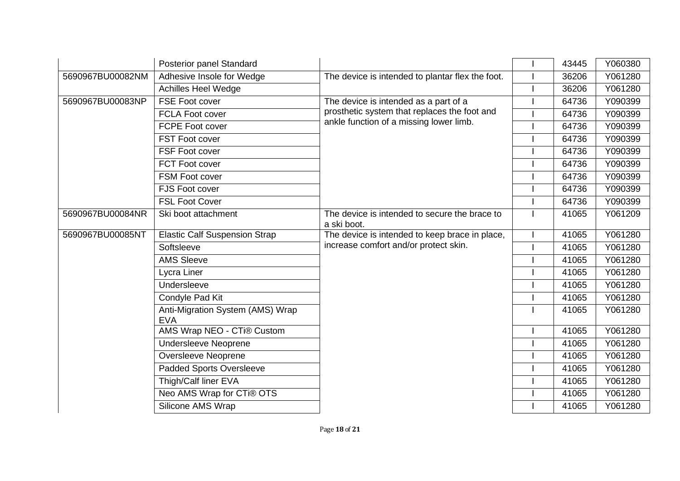|                  | Posterior panel Standard                       |                                                              | 43445 | Y060380 |
|------------------|------------------------------------------------|--------------------------------------------------------------|-------|---------|
| 5690967BU00082NM | Adhesive Insole for Wedge                      | The device is intended to plantar flex the foot.             | 36206 | Y061280 |
|                  | <b>Achilles Heel Wedge</b>                     |                                                              | 36206 | Y061280 |
| 5690967BU00083NP | FSE Foot cover                                 | The device is intended as a part of a                        | 64736 | Y090399 |
|                  | <b>FCLA Foot cover</b>                         | prosthetic system that replaces the foot and                 | 64736 | Y090399 |
|                  | <b>FCPE Foot cover</b>                         | ankle function of a missing lower limb.                      | 64736 | Y090399 |
|                  | <b>FST Foot cover</b>                          |                                                              | 64736 | Y090399 |
|                  | FSF Foot cover                                 |                                                              | 64736 | Y090399 |
|                  | FCT Foot cover                                 |                                                              | 64736 | Y090399 |
|                  | FSM Foot cover                                 |                                                              | 64736 | Y090399 |
|                  | FJS Foot cover                                 |                                                              | 64736 | Y090399 |
|                  | <b>FSL Foot Cover</b>                          |                                                              | 64736 | Y090399 |
| 5690967BU00084NR | Ski boot attachment                            | The device is intended to secure the brace to<br>a ski boot. | 41065 | Y061209 |
| 5690967BU00085NT | <b>Elastic Calf Suspension Strap</b>           | The device is intended to keep brace in place,               | 41065 | Y061280 |
|                  | Softsleeve                                     | increase comfort and/or protect skin.                        | 41065 | Y061280 |
|                  | <b>AMS Sleeve</b>                              |                                                              | 41065 | Y061280 |
|                  | Lycra Liner                                    |                                                              | 41065 | Y061280 |
|                  | Undersleeve                                    |                                                              | 41065 | Y061280 |
|                  | Condyle Pad Kit                                |                                                              | 41065 | Y061280 |
|                  | Anti-Migration System (AMS) Wrap<br><b>EVA</b> |                                                              | 41065 | Y061280 |
|                  | AMS Wrap NEO - CTi® Custom                     |                                                              | 41065 | Y061280 |
|                  | <b>Undersleeve Neoprene</b>                    |                                                              | 41065 | Y061280 |
|                  | Oversleeve Neoprene                            |                                                              | 41065 | Y061280 |
|                  | <b>Padded Sports Oversleeve</b>                |                                                              | 41065 | Y061280 |
|                  | Thigh/Calf liner EVA                           |                                                              | 41065 | Y061280 |
|                  | Neo AMS Wrap for CTi® OTS                      |                                                              | 41065 | Y061280 |
|                  | Silicone AMS Wrap                              |                                                              | 41065 | Y061280 |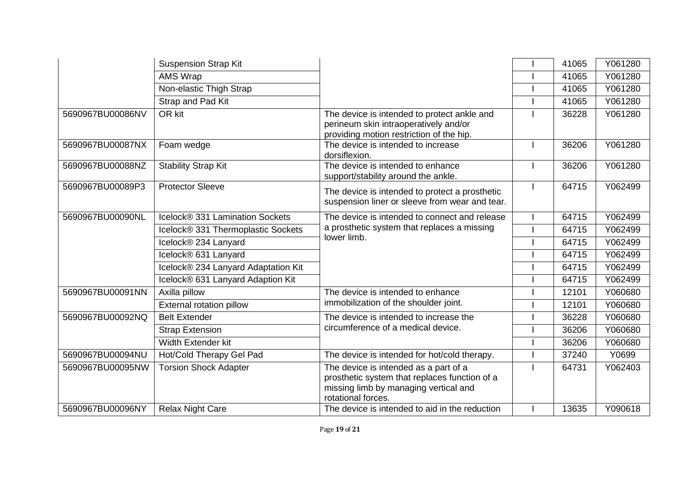|                  | <b>Suspension Strap Kit</b>         |                                                                                                                                                       | 41065 | Y061280 |
|------------------|-------------------------------------|-------------------------------------------------------------------------------------------------------------------------------------------------------|-------|---------|
|                  | <b>AMS Wrap</b>                     |                                                                                                                                                       | 41065 | Y061280 |
|                  | Non-elastic Thigh Strap             |                                                                                                                                                       | 41065 | Y061280 |
|                  | Strap and Pad Kit                   |                                                                                                                                                       | 41065 | Y061280 |
| 5690967BU00086NV | OR kit                              | The device is intended to protect ankle and<br>perineum skin intraoperatively and/or<br>providing motion restriction of the hip.                      | 36228 | Y061280 |
| 5690967BU00087NX | Foam wedge                          | The device is intended to increase<br>dorsiflexion.                                                                                                   | 36206 | Y061280 |
| 5690967BU00088NZ | <b>Stability Strap Kit</b>          | The device is intended to enhance<br>support/stability around the ankle.                                                                              | 36206 | Y061280 |
| 5690967BU00089P3 | <b>Protector Sleeve</b>             | The device is intended to protect a prosthetic<br>suspension liner or sleeve from wear and tear.                                                      | 64715 | Y062499 |
| 5690967BU00090NL | Icelock® 331 Lamination Sockets     | The device is intended to connect and release                                                                                                         | 64715 | Y062499 |
|                  | Icelock® 331 Thermoplastic Sockets  | a prosthetic system that replaces a missing                                                                                                           | 64715 | Y062499 |
|                  | Icelock® 234 Lanyard                | lower limb.                                                                                                                                           | 64715 | Y062499 |
|                  | Icelock® 631 Lanyard                |                                                                                                                                                       | 64715 | Y062499 |
|                  | Icelock® 234 Lanyard Adaptation Kit |                                                                                                                                                       | 64715 | Y062499 |
|                  | Icelock® 631 Lanyard Adaption Kit   |                                                                                                                                                       | 64715 | Y062499 |
| 5690967BU00091NN | Axilla pillow                       | The device is intended to enhance                                                                                                                     | 12101 | Y060680 |
|                  | External rotation pillow            | immobilization of the shoulder joint.                                                                                                                 | 12101 | Y060680 |
| 5690967BU00092NQ | <b>Belt Extender</b>                | The device is intended to increase the                                                                                                                | 36228 | Y060680 |
|                  | <b>Strap Extension</b>              | circumference of a medical device.                                                                                                                    | 36206 | Y060680 |
|                  | Width Extender kit                  |                                                                                                                                                       | 36206 | Y060680 |
| 5690967BU00094NU | Hot/Cold Therapy Gel Pad            | The device is intended for hot/cold therapy.                                                                                                          | 37240 | Y0699   |
| 5690967BU00095NW | <b>Torsion Shock Adapter</b>        | The device is intended as a part of a<br>prosthetic system that replaces function of a<br>missing limb by managing vertical and<br>rotational forces. | 64731 | Y062403 |
| 5690967BU00096NY | <b>Relax Night Care</b>             | The device is intended to aid in the reduction                                                                                                        | 13635 | Y090618 |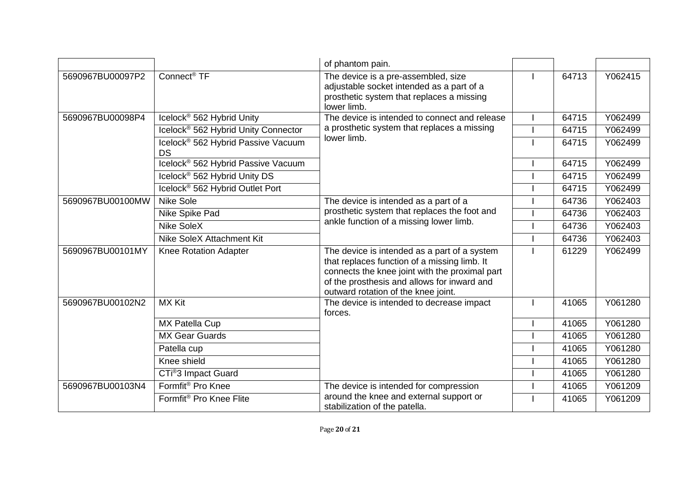|                  |                                                             | of phantom pain.                                                                                                                                                                                                                     |       |         |
|------------------|-------------------------------------------------------------|--------------------------------------------------------------------------------------------------------------------------------------------------------------------------------------------------------------------------------------|-------|---------|
| 5690967BU00097P2 | Connect <sup>®</sup> TF                                     | The device is a pre-assembled, size<br>adjustable socket intended as a part of a<br>prosthetic system that replaces a missing<br>lower limb.                                                                                         | 64713 | Y062415 |
| 5690967BU00098P4 | Icelock <sup>®</sup> 562 Hybrid Unity                       | The device is intended to connect and release                                                                                                                                                                                        | 64715 | Y062499 |
|                  | Icelock <sup>®</sup> 562 Hybrid Unity Connector             | a prosthetic system that replaces a missing                                                                                                                                                                                          | 64715 | Y062499 |
|                  | Icelock <sup>®</sup> 562 Hybrid Passive Vacuum<br><b>DS</b> | lower limb.                                                                                                                                                                                                                          | 64715 | Y062499 |
|                  | Icelock <sup>®</sup> 562 Hybrid Passive Vacuum              |                                                                                                                                                                                                                                      | 64715 | Y062499 |
|                  | Icelock <sup>®</sup> 562 Hybrid Unity DS                    |                                                                                                                                                                                                                                      | 64715 | Y062499 |
|                  | Icelock <sup>®</sup> 562 Hybrid Outlet Port                 |                                                                                                                                                                                                                                      | 64715 | Y062499 |
| 5690967BU00100MW | <b>Nike Sole</b>                                            | The device is intended as a part of a<br>prosthetic system that replaces the foot and<br>ankle function of a missing lower limb.                                                                                                     | 64736 | Y062403 |
|                  | Nike Spike Pad                                              |                                                                                                                                                                                                                                      | 64736 | Y062403 |
|                  | <b>Nike SoleX</b>                                           |                                                                                                                                                                                                                                      | 64736 | Y062403 |
|                  | Nike SoleX Attachment Kit                                   |                                                                                                                                                                                                                                      | 64736 | Y062403 |
| 5690967BU00101MY | <b>Knee Rotation Adapter</b>                                | The device is intended as a part of a system<br>that replaces function of a missing limb. It<br>connects the knee joint with the proximal part<br>of the prosthesis and allows for inward and<br>outward rotation of the knee joint. | 61229 | Y062499 |
| 5690967BU00102N2 | <b>MX Kit</b>                                               | The device is intended to decrease impact<br>forces.                                                                                                                                                                                 | 41065 | Y061280 |
|                  | MX Patella Cup                                              |                                                                                                                                                                                                                                      | 41065 | Y061280 |
|                  | <b>MX Gear Guards</b>                                       |                                                                                                                                                                                                                                      | 41065 | Y061280 |
|                  | Patella cup                                                 |                                                                                                                                                                                                                                      | 41065 | Y061280 |
|                  | Knee shield                                                 |                                                                                                                                                                                                                                      | 41065 | Y061280 |
|                  | CTi <sup>®</sup> 3 Impact Guard                             |                                                                                                                                                                                                                                      | 41065 | Y061280 |
| 5690967BU00103N4 | Formfit <sup>®</sup> Pro Knee                               | The device is intended for compression                                                                                                                                                                                               | 41065 | Y061209 |
|                  | Formfit <sup>®</sup> Pro Knee Flite                         | around the knee and external support or<br>stabilization of the patella.                                                                                                                                                             | 41065 | Y061209 |